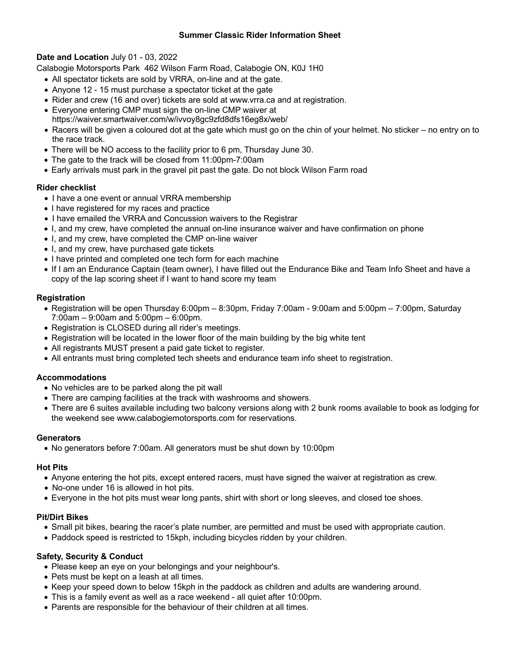### **Summer Classic Rider Information Sheet**

## **Date and Location** July 01 - 03, 2022

Calabogie Motorsports Park 462 Wilson Farm Road, Calabogie ON, K0J 1H0

- All spectator tickets are sold by VRRA, on-line and at the gate.
- Anyone 12 15 must purchase a spectator ticket at the gate
- Rider and crew (16 and over) tickets are sold at www.vrra.ca and at registration.
- Everyone entering CMP must sign the on-line CMP waiver at https://waiver.smartwaiver.com/w/ivvoy8gc9zfd8dfs16eg8x/web/
- Racers will be given a coloured dot at the gate which must go on the chin of your helmet. No sticker no entry on to the race track.
- There will be NO access to the facility prior to 6 pm, Thursday June 30.
- The gate to the track will be closed from 11:00pm-7:00am
- Early arrivals must park in the gravel pit past the gate. Do not block Wilson Farm road

## **Rider checklist**

- I have a one event or annual VRRA membership
- I have registered for my races and practice
- I have emailed the VRRA and Concussion waivers to the Registrar
- I, and my crew, have completed the annual on-line insurance waiver and have confirmation on phone
- I, and my crew, have completed the CMP on-line waiver
- I, and my crew, have purchased gate tickets
- I have printed and completed one tech form for each machine
- If I am an Endurance Captain (team owner), I have filled out the Endurance Bike and Team Info Sheet and have a copy of the lap scoring sheet if I want to hand score my team

## **Registration**

- Registration will be open Thursday 6:00pm 8:30pm, Friday 7:00am 9:00am and 5:00pm 7:00pm, Saturday 7:00am – 9:00am and 5:00pm – 6:00pm.
- Registration is CLOSED during all rider's meetings.
- Registration will be located in the lower floor of the main building by the big white tent
- All registrants MUST present a paid gate ticket to register.
- All entrants must bring completed tech sheets and endurance team info sheet to registration.

### **Accommodations**

- No vehicles are to be parked along the pit wall
- There are camping facilities at the track with washrooms and showers.
- There are 6 suites available including two balcony versions along with 2 bunk rooms available to book as lodging for the weekend see www.calabogiemotorsports.com for reservations.

### **Generators**

• No generators before 7:00am. All generators must be shut down by 10:00pm

### **Hot Pits**

- Anyone entering the hot pits, except entered racers, must have signed the waiver at registration as crew.
- No-one under 16 is allowed in hot pits.
- Everyone in the hot pits must wear long pants, shirt with short or long sleeves, and closed toe shoes.

### **Pit/Dirt Bikes**

- Small pit bikes, bearing the racer's plate number, are permitted and must be used with appropriate caution.
- Paddock speed is restricted to 15kph, including bicycles ridden by your children.

# **Safety, Security & Conduct**

- Please keep an eye on your belongings and your neighbour's.
- Pets must be kept on a leash at all times.
- Keep your speed down to below 15kph in the paddock as children and adults are wandering around.
- This is a family event as well as a race weekend all quiet after 10:00pm.
- Parents are responsible for the behaviour of their children at all times.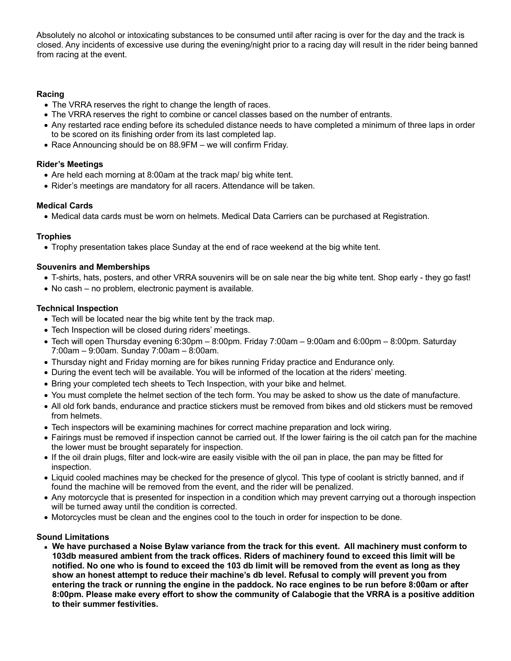Absolutely no alcohol or intoxicating substances to be consumed until after racing is over for the day and the track is closed. Any incidents of excessive use during the evening/night prior to a racing day will result in the rider being banned from racing at the event.

### **Racing**

- The VRRA reserves the right to change the length of races.
- The VRRA reserves the right to combine or cancel classes based on the number of entrants.
- Any restarted race ending before its scheduled distance needs to have completed a minimum of three laps in order to be scored on its finishing order from its last completed lap.
- Race Announcing should be on 88.9FM we will confirm Friday.

# **Rider's Meetings**

- Are held each morning at 8:00am at the track map/ big white tent.
- Rider's meetings are mandatory for all racers. Attendance will be taken.

## **Medical Cards**

• Medical data cards must be worn on helmets. Medical Data Carriers can be purchased at Registration.

# **Trophies**

• Trophy presentation takes place Sunday at the end of race weekend at the big white tent.

## **Souvenirs and Memberships**

- T-shirts, hats, posters, and other VRRA souvenirs will be on sale near the big white tent. Shop early they go fast!
- No cash no problem, electronic payment is available.

## **Technical Inspection**

- Tech will be located near the big white tent by the track map.
- Tech Inspection will be closed during riders' meetings.
- Tech will open Thursday evening 6:30pm 8:00pm. Friday 7:00am 9:00am and 6:00pm 8:00pm. Saturday 7:00am – 9:00am. Sunday 7:00am – 8:00am.
- Thursday night and Friday morning are for bikes running Friday practice and Endurance only.
- During the event tech will be available. You will be informed of the location at the riders' meeting.
- Bring your completed tech sheets to Tech Inspection, with your bike and helmet.
- You must complete the helmet section of the tech form. You may be asked to show us the date of manufacture.
- All old fork bands, endurance and practice stickers must be removed from bikes and old stickers must be removed from helmets.
- Tech inspectors will be examining machines for correct machine preparation and lock wiring.
- Fairings must be removed if inspection cannot be carried out. If the lower fairing is the oil catch pan for the machine the lower must be brought separately for inspection.
- If the oil drain plugs, filter and lock-wire are easily visible with the oil pan in place, the pan may be fitted for inspection.
- Liquid cooled machines may be checked for the presence of glycol. This type of coolant is strictly banned, and if found the machine will be removed from the event, and the rider will be penalized.
- Any motorcycle that is presented for inspection in a condition which may prevent carrying out a thorough inspection will be turned away until the condition is corrected.
- Motorcycles must be clean and the engines cool to the touch in order for inspection to be done.

### **Sound Limitations**

• **We have purchased a Noise Bylaw variance from the track for this event. All machinery must conform to 103db measured ambient from the track offices. Riders of machinery found to exceed this limit will be notified. No one who is found to exceed the 103 db limit will be removed from the event as long as they show an honest attempt to reduce their machine's db level. Refusal to comply will prevent you from entering the track or running the engine in the paddock. No race engines to be run before 8:00am or after 8:00pm. Please make every effort to show the community of Calabogie that the VRRA is a positive addition to their summer festivities.**